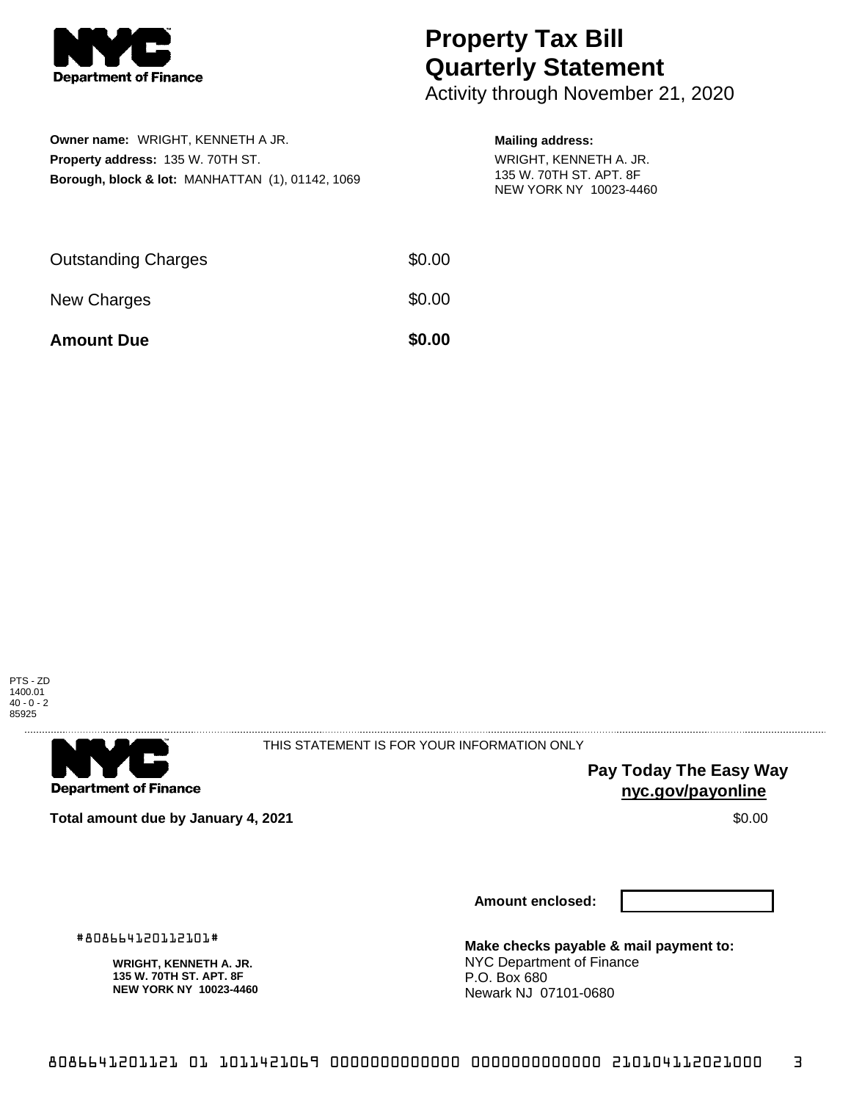

## **Property Tax Bill Quarterly Statement**

Activity through November 21, 2020

| <b>Owner name: WRIGHT, KENNETH A JR.</b>                                                     | <b>Mailing address:</b>                                                     |
|----------------------------------------------------------------------------------------------|-----------------------------------------------------------------------------|
| <b>Property address: 135 W. 70TH ST.</b><br>Borough, block & lot: MANHATTAN (1), 01142, 1069 | WRIGHT, KENNETH A. JR.<br>135 W. 70TH ST. APT. 8F<br>NEW YORK NY 10023-4460 |
|                                                                                              |                                                                             |

| <b>Amount Due</b>          | \$0.00 |
|----------------------------|--------|
| New Charges                | \$0.00 |
| <b>Outstanding Charges</b> | \$0.00 |

PTS - ZD 1400.01 40 - 0 - 2 85925



THIS STATEMENT IS FOR YOUR INFORMATION ONLY

**Pay Today The Easy Way nyc.gov/payonline**

**Total amount due by January 4, 2021 \$0.00** \$0.00

**Amount enclosed:**

**Make checks payable & mail payment to:** NYC Department of Finance P.O. Box 680 Newark NJ 07101-0680

#808664120112101#

**WRIGHT, KENNETH A. JR. 135 W. 70TH ST. APT. 8F NEW YORK NY 10023-4460**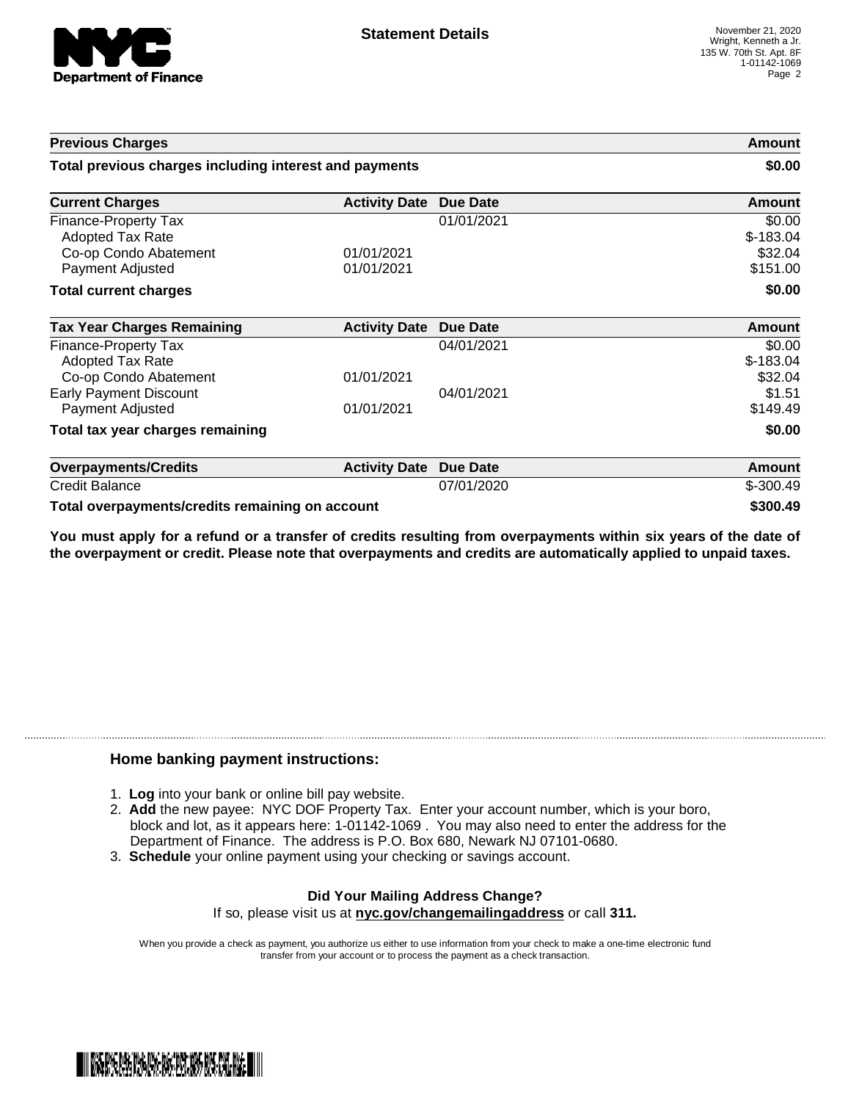

| <b>Previous Charges</b>                                                                      |                          | Amount<br>\$0.00 |                                             |
|----------------------------------------------------------------------------------------------|--------------------------|------------------|---------------------------------------------|
| Total previous charges including interest and payments                                       |                          |                  |                                             |
| <b>Current Charges</b>                                                                       | <b>Activity Date</b>     | <b>Due Date</b>  | Amount                                      |
| Finance-Property Tax<br><b>Adopted Tax Rate</b><br>Co-op Condo Abatement<br>Payment Adjusted | 01/01/2021<br>01/01/2021 | 01/01/2021       | \$0.00<br>$$-183.04$<br>\$32.04<br>\$151.00 |
| <b>Total current charges</b>                                                                 |                          |                  | \$0.00                                      |
| <b>Tax Year Charges Remaining</b>                                                            | <b>Activity Date</b>     | Due Date         | <b>Amount</b>                               |
| Finance-Property Tax<br>Adopted Tax Rate                                                     |                          | 04/01/2021       | \$0.00<br>$$-183.04$                        |
| Co-op Condo Abatement<br><b>Early Payment Discount</b><br>Payment Adjusted                   | 01/01/2021<br>01/01/2021 | 04/01/2021       | \$32.04<br>\$1.51<br>\$149.49               |
| Total tax year charges remaining                                                             |                          |                  | \$0.00                                      |
| <b>Overpayments/Credits</b>                                                                  | <b>Activity Date</b>     | <b>Due Date</b>  | Amount                                      |
| <b>Credit Balance</b>                                                                        |                          | 07/01/2020       | $$-300.49$                                  |
| Total overpayments/credits remaining on account                                              |                          |                  | \$300.49                                    |

You must apply for a refund or a transfer of credits resulting from overpayments within six years of the date of **the overpayment or credit. Please note that overpayments and credits are automatically applied to unpaid taxes.**

## **Home banking payment instructions:**

- 1. **Log** into your bank or online bill pay website.
- 2. **Add** the new payee: NYC DOF Property Tax. Enter your account number, which is your boro, block and lot, as it appears here: 1-01142-1069 . You may also need to enter the address for the Department of Finance. The address is P.O. Box 680, Newark NJ 07101-0680.
- 3. **Schedule** your online payment using your checking or savings account.

## **Did Your Mailing Address Change?** If so, please visit us at **nyc.gov/changemailingaddress** or call **311.**

When you provide a check as payment, you authorize us either to use information from your check to make a one-time electronic fund transfer from your account or to process the payment as a check transaction.